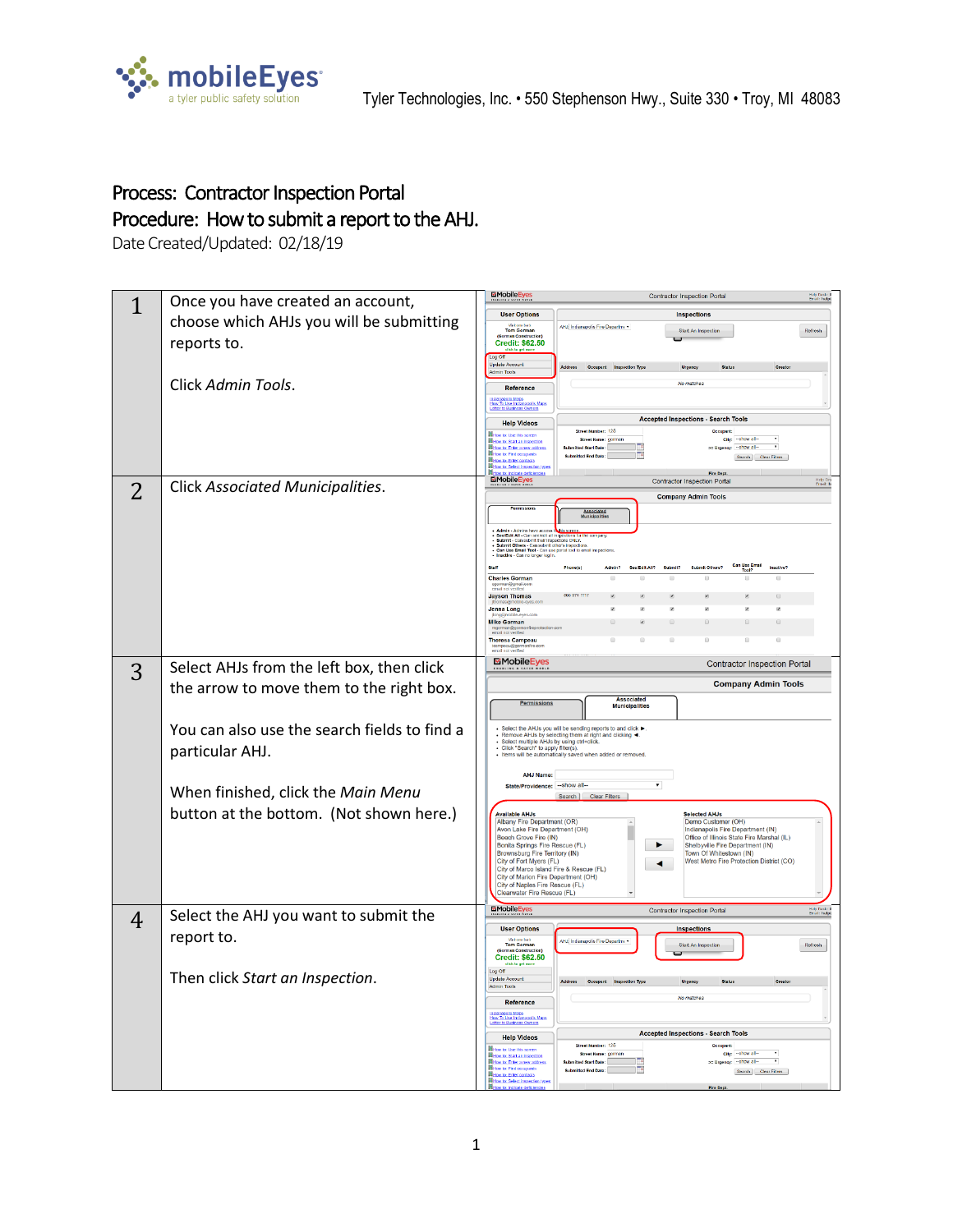

## Process: Contractor Inspection Portal Procedure: How to submit a report to the AHJ.

Date Created/Updated: 02/18/19

|                | Once you have created an account,            | <b>MobileEye</b><br>Contractor Inspection Portal<br><b>Help Desk: 8</b><br>Erreil: helpt                                                                                                                                                   |
|----------------|----------------------------------------------|--------------------------------------------------------------------------------------------------------------------------------------------------------------------------------------------------------------------------------------------|
| 1              |                                              | <b>User Options</b><br><b>Inspections</b>                                                                                                                                                                                                  |
|                | choose which AHJs you will be submitting     | AHJ: Indianapolis Fire Departme<br><b>William back</b><br>Tom Gorman<br>Start An Inspection<br>Refresh                                                                                                                                     |
|                | reports to.                                  | <b>Credit: \$62.50</b>                                                                                                                                                                                                                     |
|                |                                              | Log Off<br><b>Update Account</b><br>Address Occupant Inspection Typ<br><b>Admin Tools</b>                                                                                                                                                  |
|                | Click Admin Tools.                           | No matei<br>Reference                                                                                                                                                                                                                      |
|                |                                              | Intianapolis Maps<br>How To Use Indianapolis N<br>Letter to Business Owners<br>alis Maps                                                                                                                                                   |
|                |                                              | <b>Accepted Inspections - Search Tools</b>                                                                                                                                                                                                 |
|                |                                              | <b>Help Videos</b><br>Street Number: 125<br>Occupant:<br>How to: Use this screen                                                                                                                                                           |
|                |                                              | city: - show all<br><b>Street Name: gorman</b><br>low to: Start an inspect<br>v<br>>= Urgency: ~ show al-<br>How to: Enter a new addres<br><b>Submitted Start Date:</b><br><b>Histography</b> Finals                                       |
|                |                                              | tted End Date:<br>Search Clear Filters<br>ow to: Enter contacts<br>How to: Select inspe                                                                                                                                                    |
|                | Click Associated Municipalities.             | <b>MobileEyes</b><br><b>Contractor Inspection Portal</b><br>Help Des<br>Ernsil: he                                                                                                                                                         |
| $\overline{2}$ |                                              | <b>Company Admin Tools</b>                                                                                                                                                                                                                 |
|                |                                              | Associated<br>Municipalities                                                                                                                                                                                                               |
|                |                                              |                                                                                                                                                                                                                                            |
|                |                                              | - Admin - Admins have access to this percent.<br>- Seeffed All - Can seefed all impedients for the company.<br>- Submit - Can submit their inspectors ONLY.<br>- Submit - Olm submit their inspectors ONLY.<br>- Submit Others - Can submi |
|                |                                              | Staff<br>Phone(s)<br>See Edit All?<br>Cubodia<br>Submit Others?                                                                                                                                                                            |
|                |                                              | <b>Charles Gorman</b>                                                                                                                                                                                                                      |
|                |                                              | 866 974 1117<br><b>Jayson Thomas</b>                                                                                                                                                                                                       |
|                |                                              | <b>Jenna Long</b><br><b>Mike Gorman</b><br>Ø.<br>$\Box$<br>$\Box$<br>$\Box$                                                                                                                                                                |
|                |                                              | <b>Theresa Campeau</b><br>$\Box$<br>e                                                                                                                                                                                                      |
|                |                                              |                                                                                                                                                                                                                                            |
| 3              | Select AHJs from the left box, then click    | MobileEyes<br><b>Contractor Inspection Portal</b>                                                                                                                                                                                          |
|                | the arrow to move them to the right box.     | <b>Company Admin Tools</b>                                                                                                                                                                                                                 |
|                |                                              | <b>Associated</b><br>Permission<br><b>Municipalities</b>                                                                                                                                                                                   |
|                |                                              | Select the AHJs you will be sending reports to and click ▶                                                                                                                                                                                 |
|                | You can also use the search fields to find a | - Remove AHJs by selecting them at right and clicking < Select multiple AHJs by using ctrl+click.                                                                                                                                          |
|                | particular AHJ.                              | - Click "Search" to apply filter(s).<br>· Items will be automatically saved when added or removed.                                                                                                                                         |
|                |                                              | <b>AHJ Name:</b>                                                                                                                                                                                                                           |
|                | When finished, click the Main Menu           | State/Providence: -- show all--<br>Search   Clear Filters                                                                                                                                                                                  |
|                | button at the bottom. (Not shown here.)      | <b>Available AHJs</b><br><b>Selected AHJs</b>                                                                                                                                                                                              |
|                |                                              | Albany Fire Department (OR)<br>Demo Customer (OH)<br>Indianapolis Fire Department (IN)<br>Avon Lake Fire Department (OH)                                                                                                                   |
|                |                                              | Office of Illinois State Fire Marshal (IL)<br>Beech Grove Fire (IN)<br>Bonita Springs Fire Rescue (FL)<br>٠<br>Shelbyville Fire Department (IN)                                                                                            |
|                |                                              | Brownsburg Fire Territory (IN)<br>Town Of Whitestown (IN)<br>City of Fort Myers (FL)<br>West Metro Fire Protection District (CO)<br>$\blacktriangleleft$                                                                                   |
|                |                                              | City of Marco Island Fire & Rescue (FL)<br>City of Marion Fire Department (OH)                                                                                                                                                             |
|                |                                              | City of Naples Fire Rescue (FL)<br>Clearwater Fire Rescue (FL)                                                                                                                                                                             |
|                | Select the AHJ you want to submit the        | MobileE<br>Contractor Inspection Portal                                                                                                                                                                                                    |
| 4              |                                              | <b>User Options</b><br><b>Inspections</b>                                                                                                                                                                                                  |
|                | report to.                                   | AHJ: Indianapolis Fire Departme<br><b>Tom Gorman</b><br>Start An Inspection<br>Refresh                                                                                                                                                     |
|                |                                              | <b>Credit: \$62.50</b>                                                                                                                                                                                                                     |
|                | Then click Start an Inspection.              | Log Off<br><b>Update Account</b><br>Address Occupant Inspection Type<br>Urgency<br><b>Admin Tools</b>                                                                                                                                      |
|                |                                              | No matches<br>Reference                                                                                                                                                                                                                    |
|                |                                              | Indianapolis Maps<br>How To Use Indianapolis Maps<br>Letter to Business Owners                                                                                                                                                             |
|                |                                              | <b>Accepted Inspections - Search Tools</b><br><b>Help Videos</b>                                                                                                                                                                           |
|                |                                              | Street Number: 125<br>How to Use this screen<br>city: -- show all-<br>Street Name: gorman                                                                                                                                                  |
|                |                                              | w to: Start an inspect<br>$\overline{\phantom{a}}$<br>E Urgency: ~ show al-<br>How to: Enter a new addres<br><b>Submitted Start Date:</b><br><b>Histography</b> Final re-<br><b>Submitted End Date:</b>                                    |
|                |                                              | ${\sf Search} \quad \text{\sf Clear Filters} \quad$<br>ow to: Enter contacts<br>ow to: Select inspe                                                                                                                                        |
|                |                                              |                                                                                                                                                                                                                                            |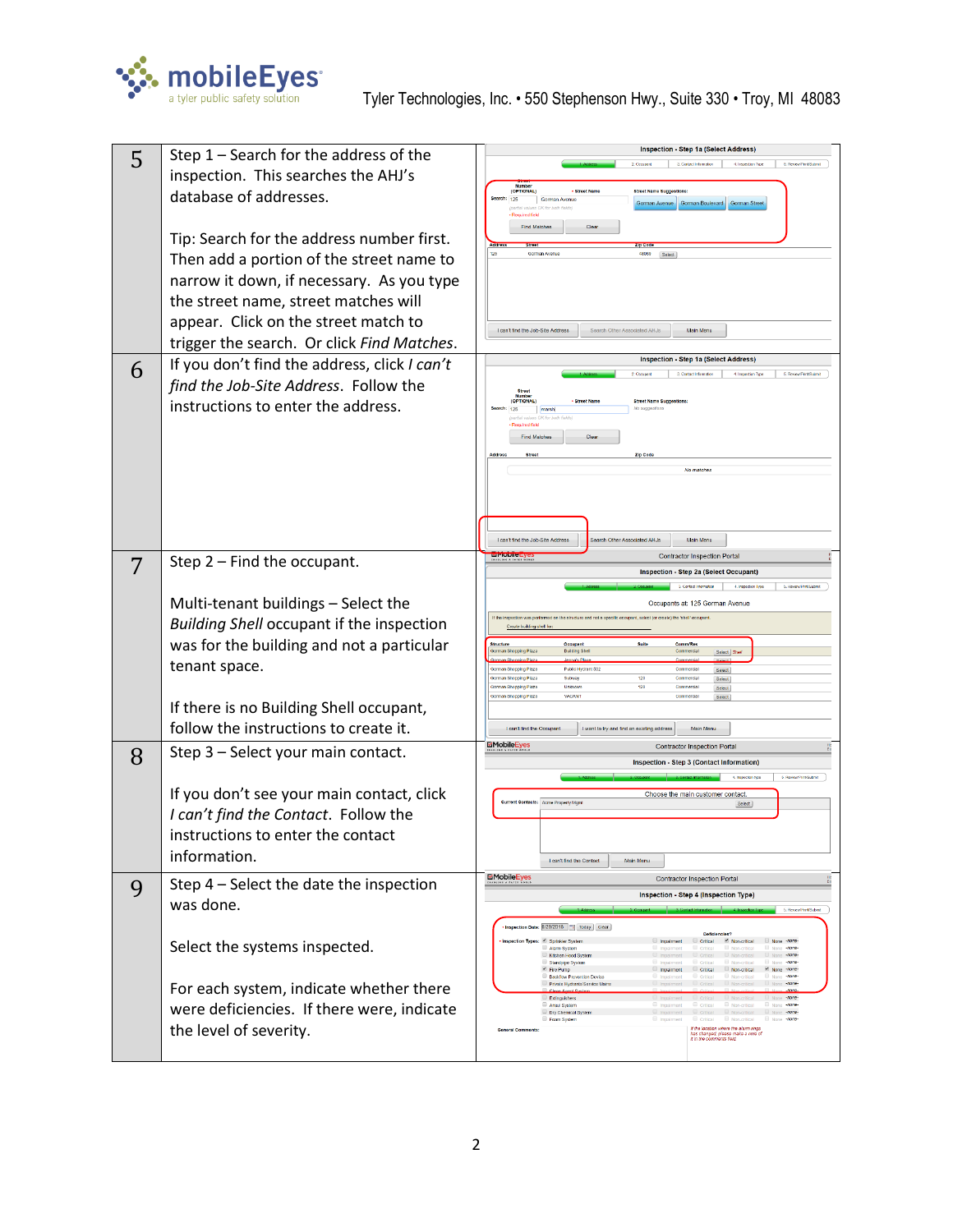

|   | Step $1$ – Search for the address of the     | Inspection - Step 1a (Select Address)                                                                                                                                                                                                                            |
|---|----------------------------------------------|------------------------------------------------------------------------------------------------------------------------------------------------------------------------------------------------------------------------------------------------------------------|
| 5 |                                              | 4. Inspection Type<br>5. ReviewPrintSubmit<br>3. Contact Information<br>2. Occupant                                                                                                                                                                              |
|   | inspection. This searches the AHJ's          | Numbe<br>(OPTIONAL)<br><b>Street Nam</b><br>Street Name Suggesti                                                                                                                                                                                                 |
|   | database of addresses.                       | earch: 125<br>Gorman Avenue<br>Gorman Boulevard<br>Gorman Street<br>Gorman Avenue                                                                                                                                                                                |
|   |                                              | <b>Required field</b><br><b>Find Matches</b><br>Clear                                                                                                                                                                                                            |
|   | Tip: Search for the address number first.    |                                                                                                                                                                                                                                                                  |
|   | Then add a portion of the street name to     | Gorman Avenue<br>48089<br>Soloct                                                                                                                                                                                                                                 |
|   | narrow it down, if necessary. As you type    |                                                                                                                                                                                                                                                                  |
|   | the street name, street matches will         |                                                                                                                                                                                                                                                                  |
|   | appear. Click on the street match to         |                                                                                                                                                                                                                                                                  |
|   | trigger the search. Or click Find Matches.   | Lcan't find the Job-Site Address<br>Search Other Associated AHJs<br>Main Menu                                                                                                                                                                                    |
|   |                                              | Inspection - Step 1a (Select Address)                                                                                                                                                                                                                            |
| 6 | If you don't find the address, click I can't | 4 Inspection Type<br>5. ReviewPrintSubmi                                                                                                                                                                                                                         |
|   | find the Job-Site Address. Follow the        | <b>Street</b><br><b>(OPTIONAL)</b><br><b>Street Name St</b>                                                                                                                                                                                                      |
|   | instructions to enter the address.           | No suggestions<br>Search: 125<br>marsh                                                                                                                                                                                                                           |
|   |                                              | Required field<br>Find Matches<br>Clear                                                                                                                                                                                                                          |
|   |                                              | Zip Cod                                                                                                                                                                                                                                                          |
|   |                                              | No matches                                                                                                                                                                                                                                                       |
|   |                                              |                                                                                                                                                                                                                                                                  |
|   |                                              |                                                                                                                                                                                                                                                                  |
|   |                                              | <b>Search Other Associated AHJs</b>                                                                                                                                                                                                                              |
|   |                                              | Main Menu<br>I can't find the Job-Site Address<br><b>EmobileEye</b><br><b>Contractor Inspection Portal</b>                                                                                                                                                       |
| 7 | Step 2 - Find the occupant.                  | Inspection - Step 2a (Select Occupant)                                                                                                                                                                                                                           |
|   |                                              | 4. Inspection Ivoc                                                                                                                                                                                                                                               |
|   | Multi-tenant buildings - Select the          | Occupants at: 125 Gorman Avenue<br>If the inspection was performed on the structure and not a specific occupant, select (or create) the 'shell' occupant                                                                                                         |
|   | Building Shell occupant if the inspection    | Create building shell for                                                                                                                                                                                                                                        |
|   | was for the building and not a particular    | Suite<br><b>CommiRes</b><br>Occupant<br><b>Building Shell</b><br>Commercia<br>Select Sher                                                                                                                                                                        |
|   | tenant space.                                | Public Hydrant 502<br>Commercia<br>Select                                                                                                                                                                                                                        |
|   |                                              | <b>Gorman Shopping Plaza</b><br>Subway<br>120<br>Commercia<br>Select<br>120<br>Jorman Shopping Plaza<br>Unknown<br>Commercia<br>Select<br>VACANT<br>Commercia<br>orman Shopping Plaza                                                                            |
|   | If there is no Building Shell occupant,      | Select                                                                                                                                                                                                                                                           |
|   | follow the instructions to create it.        | I can't find the Occupan<br>I want to try and find an existing address<br>Main Menu                                                                                                                                                                              |
|   | Step 3 - Select your main contact.           | <b>MobileEyes</b><br>Contractor Inspection Portal                                                                                                                                                                                                                |
| 8 |                                              | Inspection - Step 3 (Contact Information)                                                                                                                                                                                                                        |
|   | If you don't see your main contact, click    | 5. Review/PinniSubmi<br>Choose the main customer contact.                                                                                                                                                                                                        |
|   | I can't find the Contact. Follow the         | <b>Current Contacts:</b> Acme Property Mgmt<br>Select                                                                                                                                                                                                            |
|   |                                              |                                                                                                                                                                                                                                                                  |
|   | instructions to enter the contact            |                                                                                                                                                                                                                                                                  |
|   | information.                                 | I can't find the Contact<br>Main Menu                                                                                                                                                                                                                            |
| 9 | Step 4 - Select the date the inspection      | <b>EMobileEyes</b><br><b>Contractor Inspection Portal</b>                                                                                                                                                                                                        |
|   | was done.                                    | Inspection - Step 4 (Inspection Type)<br>5. RevewPrint/Submit                                                                                                                                                                                                    |
|   |                                              | • Inspection Date: 8/29/2018     Today   Clear                                                                                                                                                                                                                   |
|   | Select the systems inspected.                | Deficiencies?<br>Inspection Types: E Sprinkler System<br>El Impairment El Critical El Non-critical El None -none-<br>None -none-<br>Critical<br>Alarm System<br>Impairment<br>Non-critical                                                                       |
|   |                                              | <b>III</b> Non-critical<br>Kitchen Hood System<br>$\Box$ Critical<br>El None 10000<br>Impairment<br>Non-critical<br>None 10006<br>Standpipe System<br>Critical<br>Impairment<br>$\subseteq$ Fire Pump<br>El Impairment C Critical El Non-critical El None -none- |
|   | For each system, indicate whether there      | None -none-<br>Rackflow Prevention Device<br>Critical<br>III Non-critical<br>Impairment<br>Ronardical<br>None -none-<br>Private Hydrants/Service Mains<br>Critical<br>Impairment<br>Clean Arrest Sv<br>$-0000$                                                   |
|   |                                              | $\Box$ Impairment $\Box$ Critical $\Box$ Non-critical $\Box$ None -none-<br>Extinguishers<br>Ansul System<br>Critical<br>Non-critical<br>None -none-<br>Impairment                                                                                               |
|   | were deficiencies. If there were, indicate   | El Impairment El Critical El Non-critical El None -none-<br>Dry Chemical Syster<br>Foam System<br>Critical III Non-critical<br>None -none<br>Impairment                                                                                                          |
|   | the level of severity.                       | $\label{thm:main} \begin{array}{ll} \textit{if the location where the alarm rings} \\ \textit{has changed, please make a node of} \\ \textit{if in the comments field}. \end{array}$<br><b>General Comments:</b>                                                 |
|   |                                              |                                                                                                                                                                                                                                                                  |